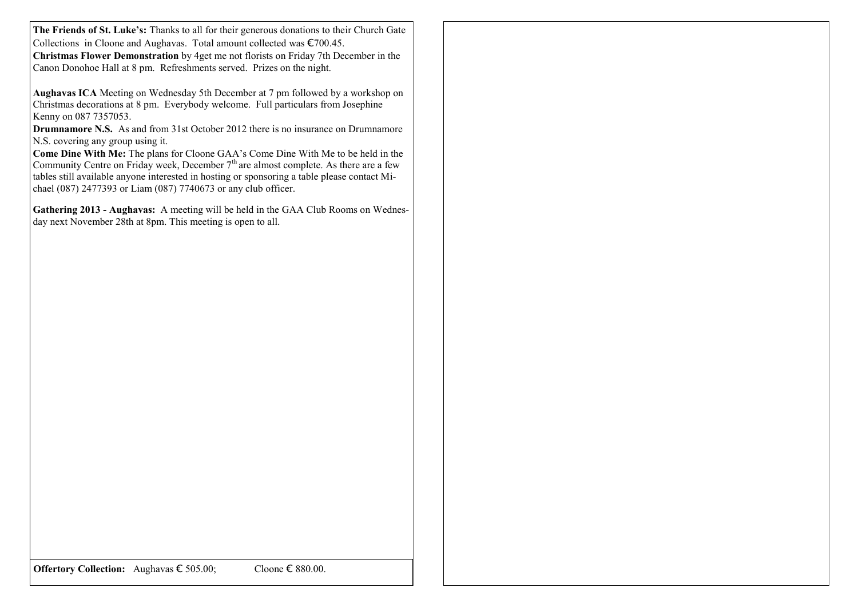**The Friends of St. Luke's:** Thanks to all for their generous donations to their Church Gate Collections in Cloone and Aughavas. Total amount collected was €700.45. **Christmas Flower Demonstration** by 4get me not florists on Friday 7th December in the Canon Donohoe Hall at 8 pm. Refreshments served. Prizes on the night.

**Aughavas ICA** Meeting on Wednesday 5th December at 7 pm followed by a workshop on Christmas decorations at 8 pm. Everybody welcome. Full particulars from Josephine Kenny on 087 7357053.

**Drumnamore N.S.** As and from 31st October 2012 there is no insurance on Drumnamore N.S. covering any group using it.

**Come Dine With Me:** The plans for Cloone GAA's Come Dine With Me to be held in the Community Centre on Friday week, December  $7<sup>th</sup>$  are almost complete. As there are a few tables still available anyone interested in hosting or sponsoring a table please contact Michael (087) 2477393 or Liam (087) 7740673 or any club officer.

**Gathering 2013 - Aughavas:** A meeting will be held in the GAA Club Rooms on Wednesday next November 28th at 8pm. This meeting is open to all.